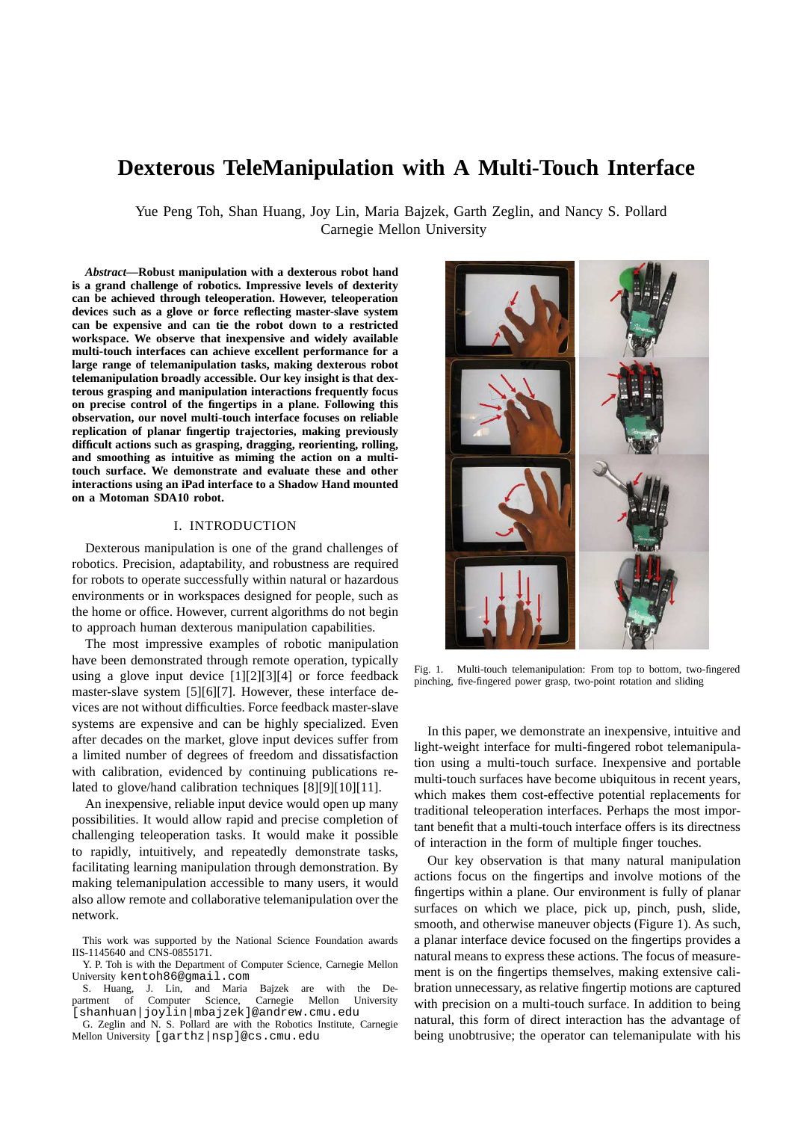# **Dexterous TeleManipulation with A Multi-Touch Interface**

Yue Peng Toh, Shan Huang, Joy Lin, Maria Bajzek, Garth Zeglin, and Nancy S. Pollard Carnegie Mellon University

*Abstract***—Robust manipulation with a dexterous robot hand is a grand challenge of robotics. Impressive levels of dexterity can be achieved through teleoperation. However, teleoperation devices such as a glove or force reflecting master-slave system can be expensive and can tie the robot down to a restricted workspace. We observe that inexpensive and widely available multi-touch interfaces can achieve excellent performance for a large range of telemanipulation tasks, making dexterous robot telemanipulation broadly accessible. Our key insight is that dexterous grasping and manipulation interactions frequently focus on precise control of the fingertips in a plane. Following this observation, our novel multi-touch interface focuses on reliable replication of planar fingertip trajectories, making previously difficult actions such as grasping, dragging, reorienting, rolling, and smoothing as intuitive as miming the action on a multitouch surface. We demonstrate and evaluate these and other interactions using an iPad interface to a Shadow Hand mounted on a Motoman SDA10 robot.**

# I. INTRODUCTION

Dexterous manipulation is one of the grand challenges of robotics. Precision, adaptability, and robustness are required for robots to operate successfully within natural or hazardous environments or in workspaces designed for people, such as the home or office. However, current algorithms do not begin to approach human dexterous manipulation capabilities.

The most impressive examples of robotic manipulation have been demonstrated through remote operation, typically using a glove input device [1][2][3][4] or force feedback master-slave system [5][6][7]. However, these interface devices are not without difficulties. Force feedback master-slave systems are expensive and can be highly specialized. Even after decades on the market, glove input devices suffer from a limited number of degrees of freedom and dissatisfaction with calibration, evidenced by continuing publications related to glove/hand calibration techniques [8][9][10][11].

An inexpensive, reliable input device would open up many possibilities. It would allow rapid and precise completion of challenging teleoperation tasks. It would make it possible to rapidly, intuitively, and repeatedly demonstrate tasks, facilitating learning manipulation through demonstration. By making telemanipulation accessible to many users, it would also allow remote and collaborative telemanipulation over the network.

Y. P. Toh is with the Department of Computer Science, Carnegie Mellon University kentoh86@gmail.com

S. Huang, J. Lin, and Maria Bajzek are with the Department of Computer Science, Carnegie Mellon University [shanhuan|joylin|mbajzek]@andrew.cmu.edu

G. Zeglin and N. S. Pollard are with the Robotics Institute, Carnegie Mellon University [garthz|nsp]@cs.cmu.edu



Fig. 1. Multi-touch telemanipulation: From top to bottom, two-fingered pinching, five-fingered power grasp, two-point rotation and sliding

In this paper, we demonstrate an inexpensive, intuitive and light-weight interface for multi-fingered robot telemanipulation using a multi-touch surface. Inexpensive and portable multi-touch surfaces have become ubiquitous in recent years, which makes them cost-effective potential replacements for traditional teleoperation interfaces. Perhaps the most important benefit that a multi-touch interface offers is its directness of interaction in the form of multiple finger touches.

Our key observation is that many natural manipulation actions focus on the fingertips and involve motions of the fingertips within a plane. Our environment is fully of planar surfaces on which we place, pick up, pinch, push, slide, smooth, and otherwise maneuver objects (Figure 1). As such, a planar interface device focused on the fingertips provides a natural means to express these actions. The focus of measurement is on the fingertips themselves, making extensive calibration unnecessary, as relative fingertip motions are captured with precision on a multi-touch surface. In addition to being natural, this form of direct interaction has the advantage of being unobtrusive; the operator can telemanipulate with his

This work was supported by the National Science Foundation awards IIS-1145640 and CNS-0855171.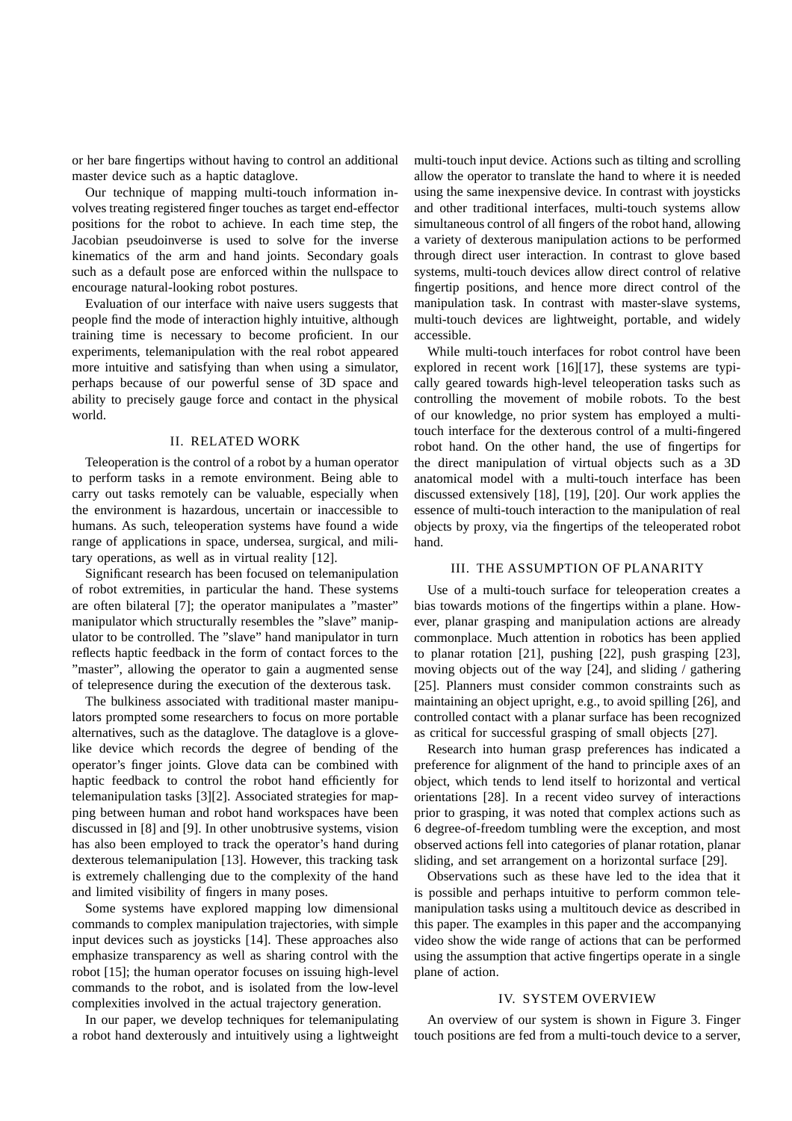or her bare fingertips without having to control an additional master device such as a haptic dataglove.

Our technique of mapping multi-touch information involves treating registered finger touches as target end-effector positions for the robot to achieve. In each time step, the Jacobian pseudoinverse is used to solve for the inverse kinematics of the arm and hand joints. Secondary goals such as a default pose are enforced within the nullspace to encourage natural-looking robot postures.

Evaluation of our interface with naive users suggests that people find the mode of interaction highly intuitive, although training time is necessary to become proficient. In our experiments, telemanipulation with the real robot appeared more intuitive and satisfying than when using a simulator, perhaps because of our powerful sense of 3D space and ability to precisely gauge force and contact in the physical world.

#### II. RELATED WORK

Teleoperation is the control of a robot by a human operator to perform tasks in a remote environment. Being able to carry out tasks remotely can be valuable, especially when the environment is hazardous, uncertain or inaccessible to humans. As such, teleoperation systems have found a wide range of applications in space, undersea, surgical, and military operations, as well as in virtual reality [12].

Significant research has been focused on telemanipulation of robot extremities, in particular the hand. These systems are often bilateral [7]; the operator manipulates a "master" manipulator which structurally resembles the "slave" manipulator to be controlled. The "slave" hand manipulator in turn reflects haptic feedback in the form of contact forces to the "master", allowing the operator to gain a augmented sense of telepresence during the execution of the dexterous task.

The bulkiness associated with traditional master manipulators prompted some researchers to focus on more portable alternatives, such as the dataglove. The dataglove is a glovelike device which records the degree of bending of the operator's finger joints. Glove data can be combined with haptic feedback to control the robot hand efficiently for telemanipulation tasks [3][2]. Associated strategies for mapping between human and robot hand workspaces have been discussed in [8] and [9]. In other unobtrusive systems, vision has also been employed to track the operator's hand during dexterous telemanipulation [13]. However, this tracking task is extremely challenging due to the complexity of the hand and limited visibility of fingers in many poses.

Some systems have explored mapping low dimensional commands to complex manipulation trajectories, with simple input devices such as joysticks [14]. These approaches also emphasize transparency as well as sharing control with the robot [15]; the human operator focuses on issuing high-level commands to the robot, and is isolated from the low-level complexities involved in the actual trajectory generation.

In our paper, we develop techniques for telemanipulating a robot hand dexterously and intuitively using a lightweight

multi-touch input device. Actions such as tilting and scrolling allow the operator to translate the hand to where it is needed using the same inexpensive device. In contrast with joysticks and other traditional interfaces, multi-touch systems allow simultaneous control of all fingers of the robot hand, allowing a variety of dexterous manipulation actions to be performed through direct user interaction. In contrast to glove based systems, multi-touch devices allow direct control of relative fingertip positions, and hence more direct control of the manipulation task. In contrast with master-slave systems, multi-touch devices are lightweight, portable, and widely accessible.

While multi-touch interfaces for robot control have been explored in recent work [16][17], these systems are typically geared towards high-level teleoperation tasks such as controlling the movement of mobile robots. To the best of our knowledge, no prior system has employed a multitouch interface for the dexterous control of a multi-fingered robot hand. On the other hand, the use of fingertips for the direct manipulation of virtual objects such as a 3D anatomical model with a multi-touch interface has been discussed extensively [18], [19], [20]. Our work applies the essence of multi-touch interaction to the manipulation of real objects by proxy, via the fingertips of the teleoperated robot hand.

#### III. THE ASSUMPTION OF PLANARITY

Use of a multi-touch surface for teleoperation creates a bias towards motions of the fingertips within a plane. However, planar grasping and manipulation actions are already commonplace. Much attention in robotics has been applied to planar rotation [21], pushing [22], push grasping [23], moving objects out of the way [24], and sliding / gathering [25]. Planners must consider common constraints such as maintaining an object upright, e.g., to avoid spilling [26], and controlled contact with a planar surface has been recognized as critical for successful grasping of small objects [27].

Research into human grasp preferences has indicated a preference for alignment of the hand to principle axes of an object, which tends to lend itself to horizontal and vertical orientations [28]. In a recent video survey of interactions prior to grasping, it was noted that complex actions such as 6 degree-of-freedom tumbling were the exception, and most observed actions fell into categories of planar rotation, planar sliding, and set arrangement on a horizontal surface [29].

Observations such as these have led to the idea that it is possible and perhaps intuitive to perform common telemanipulation tasks using a multitouch device as described in this paper. The examples in this paper and the accompanying video show the wide range of actions that can be performed using the assumption that active fingertips operate in a single plane of action.

# IV. SYSTEM OVERVIEW

An overview of our system is shown in Figure 3. Finger touch positions are fed from a multi-touch device to a server,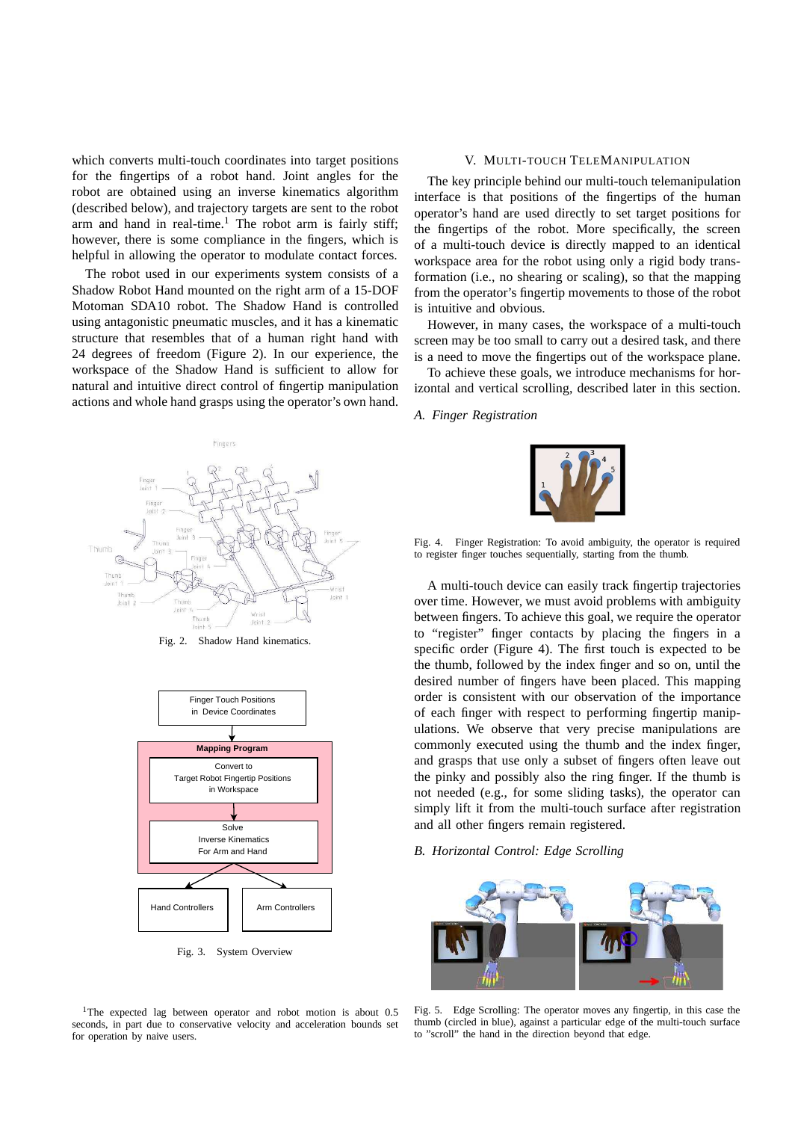which converts multi-touch coordinates into target positions for the fingertips of a robot hand. Joint angles for the robot are obtained using an inverse kinematics algorithm (described below), and trajectory targets are sent to the robot arm and hand in real-time.<sup>1</sup> The robot arm is fairly stiff; however, there is some compliance in the fingers, which is helpful in allowing the operator to modulate contact forces.

The robot used in our experiments system consists of a Shadow Robot Hand mounted on the right arm of a 15-DOF Motoman SDA10 robot. The Shadow Hand is controlled using antagonistic pneumatic muscles, and it has a kinematic structure that resembles that of a human right hand with 24 degrees of freedom (Figure 2). In our experience, the workspace of the Shadow Hand is sufficient to allow for natural and intuitive direct control of fingertip manipulation actions and whole hand grasps using the operator's own hand.

## V. MULTI-TOUCH TELEMANIPULATION

The key principle behind our multi-touch telemanipulation interface is that positions of the fingertips of the human operator's hand are used directly to set target positions for the fingertips of the robot. More specifically, the screen of a multi-touch device is directly mapped to an identical workspace area for the robot using only a rigid body transformation (i.e., no shearing or scaling), so that the mapping from the operator's fingertip movements to those of the robot is intuitive and obvious.

However, in many cases, the workspace of a multi-touch screen may be too small to carry out a desired task, and there is a need to move the fingertips out of the workspace plane.

To achieve these goals, we introduce mechanisms for horizontal and vertical scrolling, described later in this section.

# *A. Finger Registration*



Fig. 2. Shadow Hand kinematics.



Fig. 3. System Overview

<sup>1</sup>The expected lag between operator and robot motion is about 0.5 seconds, in part due to conservative velocity and acceleration bounds set for operation by naive users.



Fig. 4. Finger Registration: To avoid ambiguity, the operator is required to register finger touches sequentially, starting from the thumb.

A multi-touch device can easily track fingertip trajectories over time. However, we must avoid problems with ambiguity between fingers. To achieve this goal, we require the operator to "register" finger contacts by placing the fingers in a specific order (Figure 4). The first touch is expected to be the thumb, followed by the index finger and so on, until the desired number of fingers have been placed. This mapping order is consistent with our observation of the importance of each finger with respect to performing fingertip manipulations. We observe that very precise manipulations are commonly executed using the thumb and the index finger, and grasps that use only a subset of fingers often leave out the pinky and possibly also the ring finger. If the thumb is not needed (e.g., for some sliding tasks), the operator can simply lift it from the multi-touch surface after registration and all other fingers remain registered.

#### *B. Horizontal Control: Edge Scrolling*



Fig. 5. Edge Scrolling: The operator moves any fingertip, in this case the thumb (circled in blue), against a particular edge of the multi-touch surface to "scroll" the hand in the direction beyond that edge.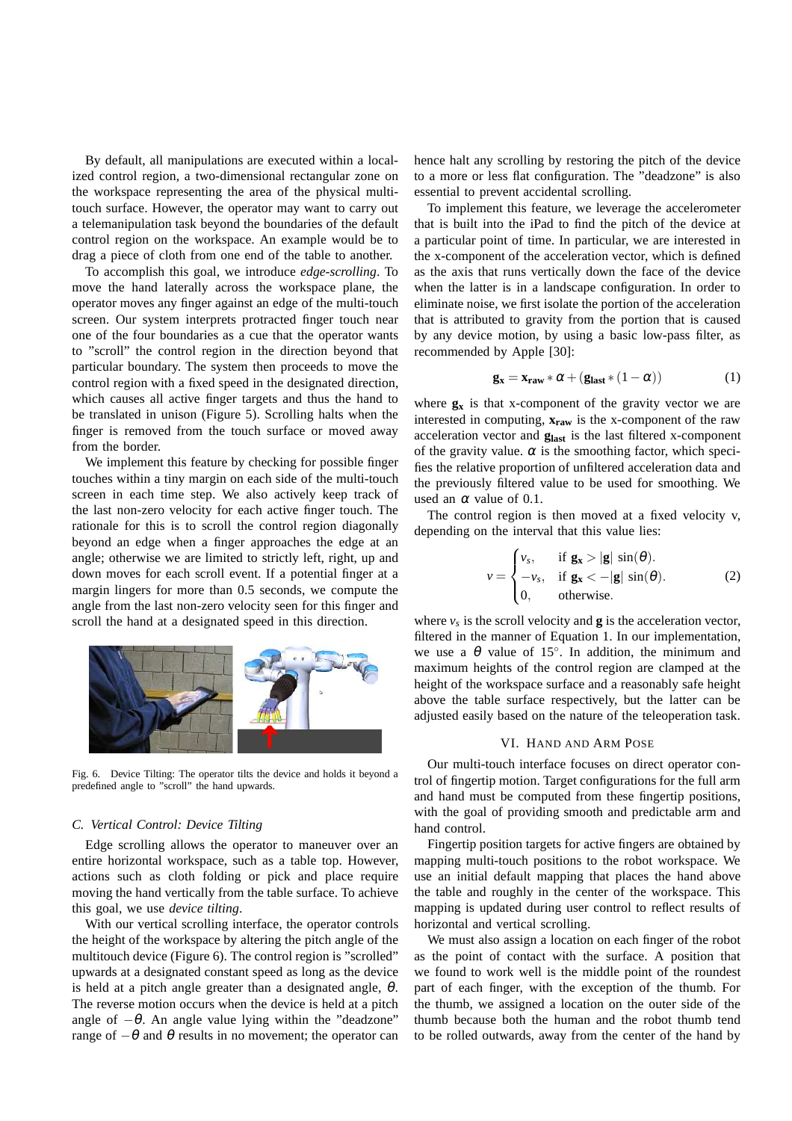By default, all manipulations are executed within a localized control region, a two-dimensional rectangular zone on the workspace representing the area of the physical multitouch surface. However, the operator may want to carry out a telemanipulation task beyond the boundaries of the default control region on the workspace. An example would be to drag a piece of cloth from one end of the table to another.

To accomplish this goal, we introduce *edge-scrolling*. To move the hand laterally across the workspace plane, the operator moves any finger against an edge of the multi-touch screen. Our system interprets protracted finger touch near one of the four boundaries as a cue that the operator wants to "scroll" the control region in the direction beyond that particular boundary. The system then proceeds to move the control region with a fixed speed in the designated direction, which causes all active finger targets and thus the hand to be translated in unison (Figure 5). Scrolling halts when the finger is removed from the touch surface or moved away from the border.

We implement this feature by checking for possible finger touches within a tiny margin on each side of the multi-touch screen in each time step. We also actively keep track of the last non-zero velocity for each active finger touch. The rationale for this is to scroll the control region diagonally beyond an edge when a finger approaches the edge at an angle; otherwise we are limited to strictly left, right, up and down moves for each scroll event. If a potential finger at a margin lingers for more than 0.5 seconds, we compute the angle from the last non-zero velocity seen for this finger and scroll the hand at a designated speed in this direction.



Fig. 6. Device Tilting: The operator tilts the device and holds it beyond a predefined angle to "scroll" the hand upwards.

## *C. Vertical Control: Device Tilting*

Edge scrolling allows the operator to maneuver over an entire horizontal workspace, such as a table top. However, actions such as cloth folding or pick and place require moving the hand vertically from the table surface. To achieve this goal, we use *device tilting*.

With our vertical scrolling interface, the operator controls the height of the workspace by altering the pitch angle of the multitouch device (Figure 6). The control region is "scrolled" upwards at a designated constant speed as long as the device is held at a pitch angle greater than a designated angle,  $\theta$ . The reverse motion occurs when the device is held at a pitch angle of  $-\theta$ . An angle value lying within the "deadzone" range of  $-\theta$  and  $\theta$  results in no movement; the operator can

hence halt any scrolling by restoring the pitch of the device to a more or less flat configuration. The "deadzone" is also essential to prevent accidental scrolling.

To implement this feature, we leverage the accelerometer that is built into the iPad to find the pitch of the device at a particular point of time. In particular, we are interested in the x-component of the acceleration vector, which is defined as the axis that runs vertically down the face of the device when the latter is in a landscape configuration. In order to eliminate noise, we first isolate the portion of the acceleration that is attributed to gravity from the portion that is caused by any device motion, by using a basic low-pass filter, as recommended by Apple [30]:

$$
\mathbf{g}_{\mathbf{x}} = \mathbf{x}_{\mathbf{raw}} * \alpha + (\mathbf{g}_{\mathbf{last}} * (1 - \alpha)) \tag{1}
$$

where  $g_x$  is that x-component of the gravity vector we are interested in computing, **xraw** is the x-component of the raw acceleration vector and **glast** is the last filtered x-component of the gravity value.  $\alpha$  is the smoothing factor, which specifies the relative proportion of unfiltered acceleration data and the previously filtered value to be used for smoothing. We used an  $\alpha$  value of 0.1.

The control region is then moved at a fixed velocity v, depending on the interval that this value lies:

$$
v = \begin{cases} v_s, & \text{if } \mathbf{g_x} > |\mathbf{g}| \sin(\theta). \\ -v_s, & \text{if } \mathbf{g_x} < -|\mathbf{g}| \sin(\theta). \\ 0, & \text{otherwise.} \end{cases}
$$
 (2)

where  $v_s$  is the scroll velocity and  $g$  is the acceleration vector, filtered in the manner of Equation 1. In our implementation, we use a  $\theta$  value of 15°. In addition, the minimum and maximum heights of the control region are clamped at the height of the workspace surface and a reasonably safe height above the table surface respectively, but the latter can be adjusted easily based on the nature of the teleoperation task.

#### VI. HAND AND ARM POSE

Our multi-touch interface focuses on direct operator control of fingertip motion. Target configurations for the full arm and hand must be computed from these fingertip positions, with the goal of providing smooth and predictable arm and hand control.

Fingertip position targets for active fingers are obtained by mapping multi-touch positions to the robot workspace. We use an initial default mapping that places the hand above the table and roughly in the center of the workspace. This mapping is updated during user control to reflect results of horizontal and vertical scrolling.

We must also assign a location on each finger of the robot as the point of contact with the surface. A position that we found to work well is the middle point of the roundest part of each finger, with the exception of the thumb. For the thumb, we assigned a location on the outer side of the thumb because both the human and the robot thumb tend to be rolled outwards, away from the center of the hand by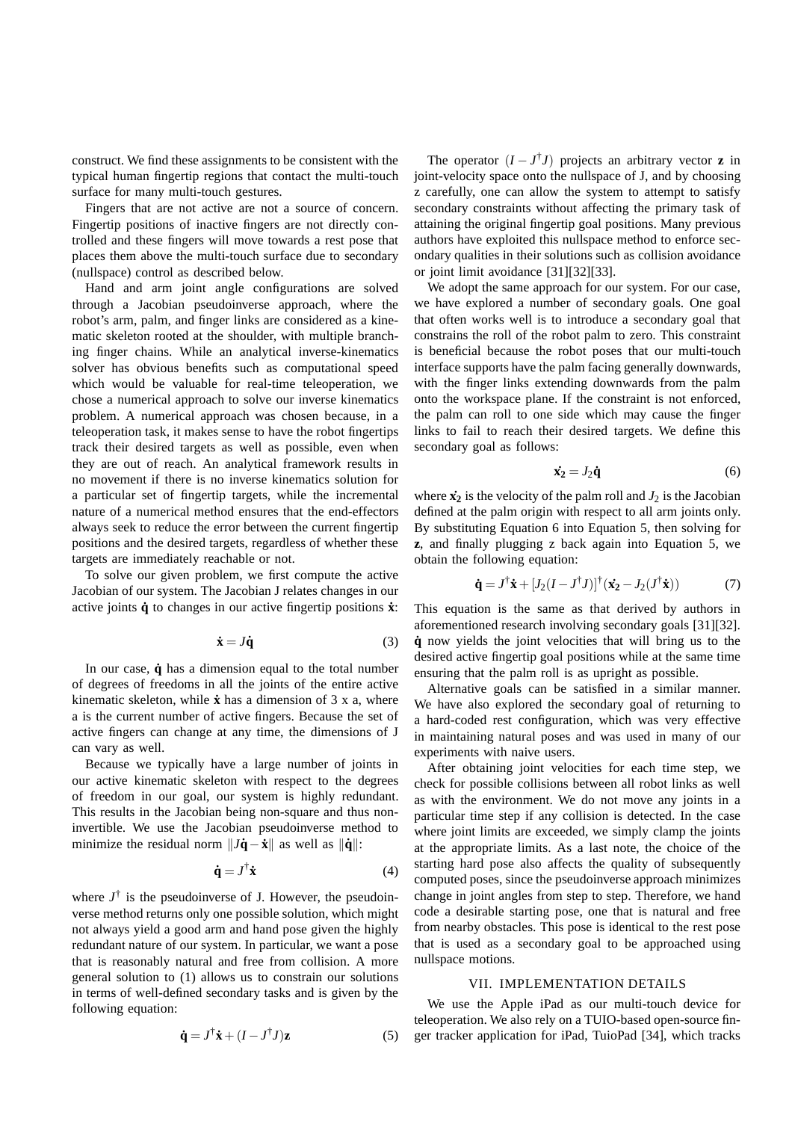construct. We find these assignments to be consistent with the typical human fingertip regions that contact the multi-touch surface for many multi-touch gestures.

Fingers that are not active are not a source of concern. Fingertip positions of inactive fingers are not directly controlled and these fingers will move towards a rest pose that places them above the multi-touch surface due to secondary (nullspace) control as described below.

Hand and arm joint angle configurations are solved through a Jacobian pseudoinverse approach, where the robot's arm, palm, and finger links are considered as a kinematic skeleton rooted at the shoulder, with multiple branching finger chains. While an analytical inverse-kinematics solver has obvious benefits such as computational speed which would be valuable for real-time teleoperation, we chose a numerical approach to solve our inverse kinematics problem. A numerical approach was chosen because, in a teleoperation task, it makes sense to have the robot fingertips track their desired targets as well as possible, even when they are out of reach. An analytical framework results in no movement if there is no inverse kinematics solution for a particular set of fingertip targets, while the incremental nature of a numerical method ensures that the end-effectors always seek to reduce the error between the current fingertip positions and the desired targets, regardless of whether these targets are immediately reachable or not.

To solve our given problem, we first compute the active Jacobian of our system. The Jacobian J relates changes in our active joints **q˙** to changes in our active fingertip positions **˙x**:

$$
\dot{\mathbf{x}} = J\dot{\mathbf{q}} \tag{3}
$$

In our case, **q** has a dimension equal to the total number of degrees of freedoms in all the joints of the entire active kinematic skeleton, while  $\dot{x}$  has a dimension of 3 x a, where a is the current number of active fingers. Because the set of active fingers can change at any time, the dimensions of J can vary as well.

Because we typically have a large number of joints in our active kinematic skeleton with respect to the degrees of freedom in our goal, our system is highly redundant. This results in the Jacobian being non-square and thus noninvertible. We use the Jacobian pseudoinverse method to minimize the residual norm  $||J\dot{q} - \dot{x}||$  as well as  $||\dot{q}||$ :

$$
\dot{\mathbf{q}} = J^{\dagger}\dot{\mathbf{x}} \tag{4}
$$

where  $J^{\dagger}$  is the pseudoinverse of J. However, the pseudoinverse method returns only one possible solution, which might not always yield a good arm and hand pose given the highly redundant nature of our system. In particular, we want a pose that is reasonably natural and free from collision. A more general solution to (1) allows us to constrain our solutions in terms of well-defined secondary tasks and is given by the following equation:

$$
\dot{\mathbf{q}} = J^{\dagger}\dot{\mathbf{x}} + (I - J^{\dagger}J)\mathbf{z}
$$
 (5)

The operator  $(I - J^{\dagger}J)$  projects an arbitrary vector **z** in joint-velocity space onto the nullspace of J, and by choosing z carefully, one can allow the system to attempt to satisfy secondary constraints without affecting the primary task of attaining the original fingertip goal positions. Many previous authors have exploited this nullspace method to enforce secondary qualities in their solutions such as collision avoidance or joint limit avoidance [31][32][33].

We adopt the same approach for our system. For our case, we have explored a number of secondary goals. One goal that often works well is to introduce a secondary goal that constrains the roll of the robot palm to zero. This constraint is beneficial because the robot poses that our multi-touch interface supports have the palm facing generally downwards, with the finger links extending downwards from the palm onto the workspace plane. If the constraint is not enforced, the palm can roll to one side which may cause the finger links to fail to reach their desired targets. We define this secondary goal as follows:

$$
\dot{\mathbf{x}_2} = J_2 \dot{\mathbf{q}} \tag{6}
$$

where  $\mathbf{x}_2$  is the velocity of the palm roll and  $J_2$  is the Jacobian defined at the palm origin with respect to all arm joints only. By substituting Equation 6 into Equation 5, then solving for **z**, and finally plugging z back again into Equation 5, we obtain the following equation:

$$
\dot{\mathbf{q}} = J^{\dagger}\dot{\mathbf{x}} + [J_2(I - J^{\dagger}J)]^{\dagger}(\dot{\mathbf{x}}_2 - J_2(J^{\dagger}\dot{\mathbf{x}}))
$$
(7)

This equation is the same as that derived by authors in aforementioned research involving secondary goals [31][32]. **q˙** now yields the joint velocities that will bring us to the desired active fingertip goal positions while at the same time ensuring that the palm roll is as upright as possible.

Alternative goals can be satisfied in a similar manner. We have also explored the secondary goal of returning to a hard-coded rest configuration, which was very effective in maintaining natural poses and was used in many of our experiments with naive users.

After obtaining joint velocities for each time step, we check for possible collisions between all robot links as well as with the environment. We do not move any joints in a particular time step if any collision is detected. In the case where joint limits are exceeded, we simply clamp the joints at the appropriate limits. As a last note, the choice of the starting hard pose also affects the quality of subsequently computed poses, since the pseudoinverse approach minimizes change in joint angles from step to step. Therefore, we hand code a desirable starting pose, one that is natural and free from nearby obstacles. This pose is identical to the rest pose that is used as a secondary goal to be approached using nullspace motions.

## VII. IMPLEMENTATION DETAILS

We use the Apple iPad as our multi-touch device for teleoperation. We also rely on a TUIO-based open-source finger tracker application for iPad, TuioPad [34], which tracks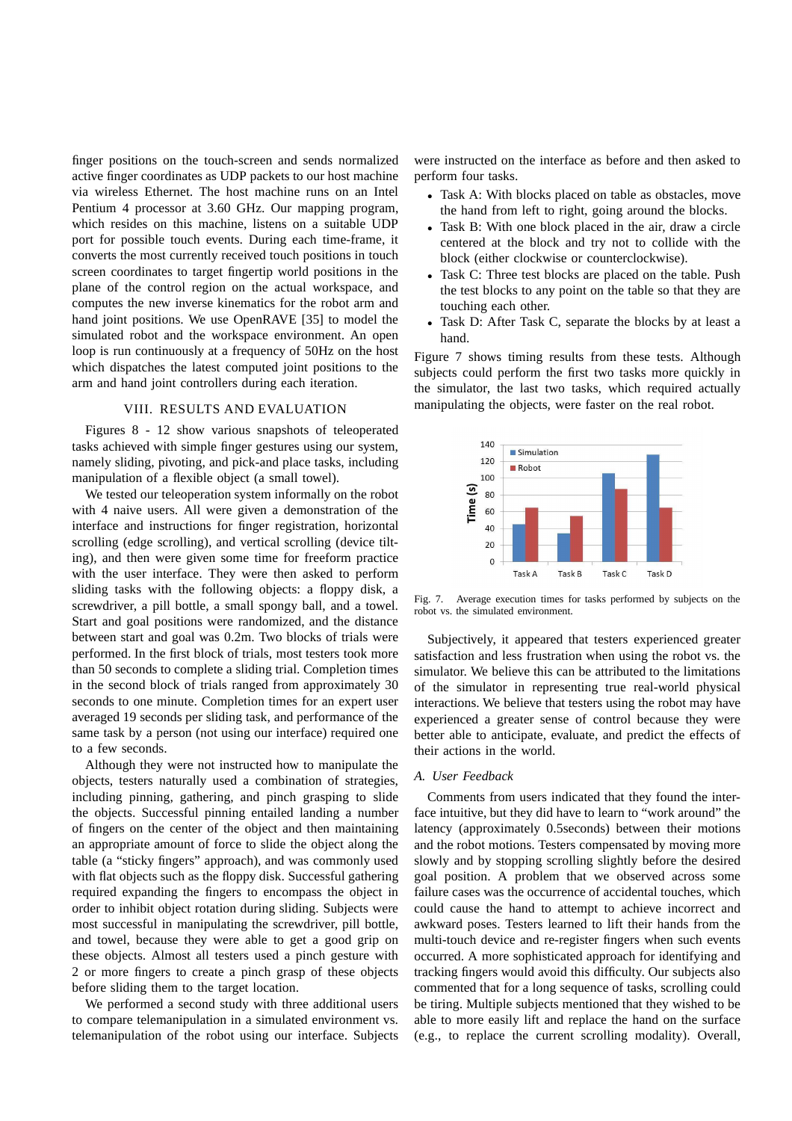finger positions on the touch-screen and sends normalized active finger coordinates as UDP packets to our host machine via wireless Ethernet. The host machine runs on an Intel Pentium 4 processor at 3.60 GHz. Our mapping program, which resides on this machine, listens on a suitable UDP port for possible touch events. During each time-frame, it converts the most currently received touch positions in touch screen coordinates to target fingertip world positions in the plane of the control region on the actual workspace, and computes the new inverse kinematics for the robot arm and hand joint positions. We use OpenRAVE [35] to model the simulated robot and the workspace environment. An open loop is run continuously at a frequency of 50Hz on the host which dispatches the latest computed joint positions to the arm and hand joint controllers during each iteration.

# VIII. RESULTS AND EVALUATION

Figures 8 - 12 show various snapshots of teleoperated tasks achieved with simple finger gestures using our system, namely sliding, pivoting, and pick-and place tasks, including manipulation of a flexible object (a small towel).

We tested our teleoperation system informally on the robot with 4 naive users. All were given a demonstration of the interface and instructions for finger registration, horizontal scrolling (edge scrolling), and vertical scrolling (device tilting), and then were given some time for freeform practice with the user interface. They were then asked to perform sliding tasks with the following objects: a floppy disk, a screwdriver, a pill bottle, a small spongy ball, and a towel. Start and goal positions were randomized, and the distance between start and goal was 0.2m. Two blocks of trials were performed. In the first block of trials, most testers took more than 50 seconds to complete a sliding trial. Completion times in the second block of trials ranged from approximately 30 seconds to one minute. Completion times for an expert user averaged 19 seconds per sliding task, and performance of the same task by a person (not using our interface) required one to a few seconds.

Although they were not instructed how to manipulate the objects, testers naturally used a combination of strategies, including pinning, gathering, and pinch grasping to slide the objects. Successful pinning entailed landing a number of fingers on the center of the object and then maintaining an appropriate amount of force to slide the object along the table (a "sticky fingers" approach), and was commonly used with flat objects such as the floppy disk. Successful gathering required expanding the fingers to encompass the object in order to inhibit object rotation during sliding. Subjects were most successful in manipulating the screwdriver, pill bottle, and towel, because they were able to get a good grip on these objects. Almost all testers used a pinch gesture with 2 or more fingers to create a pinch grasp of these objects before sliding them to the target location.

We performed a second study with three additional users to compare telemanipulation in a simulated environment vs. telemanipulation of the robot using our interface. Subjects

were instructed on the interface as before and then asked to perform four tasks.

- Task A: With blocks placed on table as obstacles, move the hand from left to right, going around the blocks.
- Task B: With one block placed in the air, draw a circle centered at the block and try not to collide with the block (either clockwise or counterclockwise).
- Task C: Three test blocks are placed on the table. Push the test blocks to any point on the table so that they are touching each other.
- Task D: After Task C, separate the blocks by at least a hand.

Figure 7 shows timing results from these tests. Although subjects could perform the first two tasks more quickly in the simulator, the last two tasks, which required actually manipulating the objects, were faster on the real robot.



Fig. 7. Average execution times for tasks performed by subjects on the robot vs. the simulated environment.

Subjectively, it appeared that testers experienced greater satisfaction and less frustration when using the robot vs. the simulator. We believe this can be attributed to the limitations of the simulator in representing true real-world physical interactions. We believe that testers using the robot may have experienced a greater sense of control because they were better able to anticipate, evaluate, and predict the effects of their actions in the world.

#### *A. User Feedback*

Comments from users indicated that they found the interface intuitive, but they did have to learn to "work around" the latency (approximately 0.5seconds) between their motions and the robot motions. Testers compensated by moving more slowly and by stopping scrolling slightly before the desired goal position. A problem that we observed across some failure cases was the occurrence of accidental touches, which could cause the hand to attempt to achieve incorrect and awkward poses. Testers learned to lift their hands from the multi-touch device and re-register fingers when such events occurred. A more sophisticated approach for identifying and tracking fingers would avoid this difficulty. Our subjects also commented that for a long sequence of tasks, scrolling could be tiring. Multiple subjects mentioned that they wished to be able to more easily lift and replace the hand on the surface (e.g., to replace the current scrolling modality). Overall,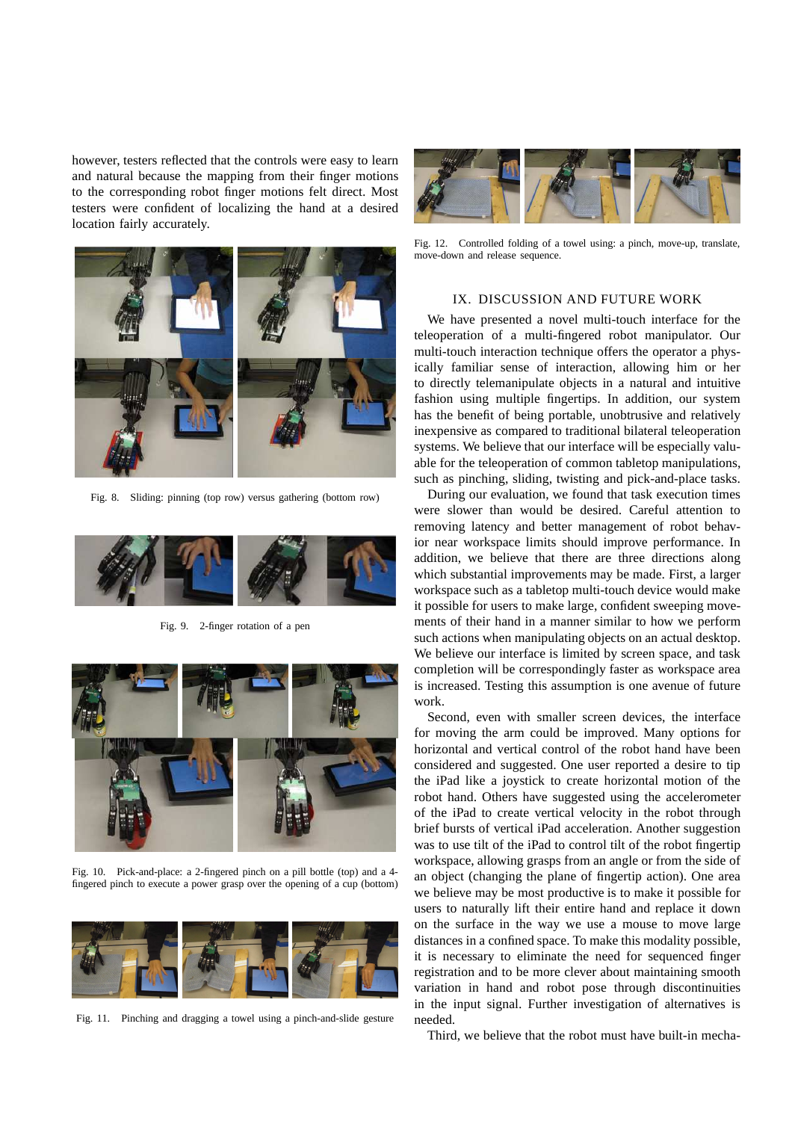however, testers reflected that the controls were easy to learn and natural because the mapping from their finger motions to the corresponding robot finger motions felt direct. Most testers were confident of localizing the hand at a desired location fairly accurately.



Fig. 8. Sliding: pinning (top row) versus gathering (bottom row)



Fig. 9. 2-finger rotation of a pen



Fig. 10. Pick-and-place: a 2-fingered pinch on a pill bottle (top) and a 4 fingered pinch to execute a power grasp over the opening of a cup (bottom)



Fig. 11. Pinching and dragging a towel using a pinch-and-slide gesture



Fig. 12. Controlled folding of a towel using: a pinch, move-up, translate, move-down and release sequence.

# IX. DISCUSSION AND FUTURE WORK

We have presented a novel multi-touch interface for the teleoperation of a multi-fingered robot manipulator. Our multi-touch interaction technique offers the operator a physically familiar sense of interaction, allowing him or her to directly telemanipulate objects in a natural and intuitive fashion using multiple fingertips. In addition, our system has the benefit of being portable, unobtrusive and relatively inexpensive as compared to traditional bilateral teleoperation systems. We believe that our interface will be especially valuable for the teleoperation of common tabletop manipulations, such as pinching, sliding, twisting and pick-and-place tasks.

During our evaluation, we found that task execution times were slower than would be desired. Careful attention to removing latency and better management of robot behavior near workspace limits should improve performance. In addition, we believe that there are three directions along which substantial improvements may be made. First, a larger workspace such as a tabletop multi-touch device would make it possible for users to make large, confident sweeping movements of their hand in a manner similar to how we perform such actions when manipulating objects on an actual desktop. We believe our interface is limited by screen space, and task completion will be correspondingly faster as workspace area is increased. Testing this assumption is one avenue of future work.

Second, even with smaller screen devices, the interface for moving the arm could be improved. Many options for horizontal and vertical control of the robot hand have been considered and suggested. One user reported a desire to tip the iPad like a joystick to create horizontal motion of the robot hand. Others have suggested using the accelerometer of the iPad to create vertical velocity in the robot through brief bursts of vertical iPad acceleration. Another suggestion was to use tilt of the iPad to control tilt of the robot fingertip workspace, allowing grasps from an angle or from the side of an object (changing the plane of fingertip action). One area we believe may be most productive is to make it possible for users to naturally lift their entire hand and replace it down on the surface in the way we use a mouse to move large distances in a confined space. To make this modality possible, it is necessary to eliminate the need for sequenced finger registration and to be more clever about maintaining smooth variation in hand and robot pose through discontinuities in the input signal. Further investigation of alternatives is needed.

Third, we believe that the robot must have built-in mecha-